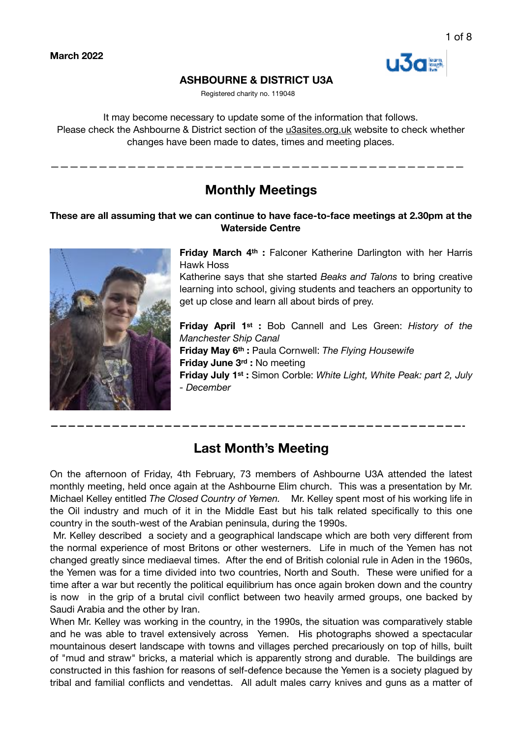

# **ASHBOURNE & DISTRICT U3A**

Registered charity no. 119048

It may become necessary to update some of the information that follows. Please check the Ashbourne & District section of the [u3asites.org.uk](http://u3asites.org.uk) website to check whether changes have been made to dates, times and meeting places.

**Monthly Meetings** 

———————————————————————————————————————————

# **These are all assuming that we can continue to have face-to-face meetings at 2.30pm at the Waterside Centre**



**Friday March 4th :** Falconer Katherine Darlington with her Harris Hawk Hoss

Katherine says that she started *Beaks and Talons* to bring creative learning into school, giving students and teachers an opportunity to get up close and learn all about birds of prey.

**Friday April 1st :** Bob Cannell and Les Green: *History of the Manchester Ship Canal* 

**Friday May 6th :** Paula Cornwell: *The Flying Housewife* **Friday June 3rd :** No meeting

**Friday July 1st :** Simon Corble: *White Light, White Peak: part 2, July - December* 

# **Last Month's Meeting**

**———————————————————————————————————————————————-** 

On the afternoon of Friday, 4th February, 73 members of Ashbourne U3A attended the latest monthly meeting, held once again at the Ashbourne Elim church. This was a presentation by Mr. Michael Kelley entitled *The Closed Country of Yemen.* Mr. Kelley spent most of his working life in the Oil industry and much of it in the Middle East but his talk related specifically to this one country in the south-west of the Arabian peninsula, during the 1990s.

 Mr. Kelley described a society and a geographical landscape which are both very different from the normal experience of most Britons or other westerners. Life in much of the Yemen has not changed greatly since mediaeval times. After the end of British colonial rule in Aden in the 1960s, the Yemen was for a time divided into two countries, North and South. These were unified for a time after a war but recently the political equilibrium has once again broken down and the country is now in the grip of a brutal civil conflict between two heavily armed groups, one backed by Saudi Arabia and the other by Iran.

When Mr. Kelley was working in the country, in the 1990s, the situation was comparatively stable and he was able to travel extensively across Yemen. His photographs showed a spectacular mountainous desert landscape with towns and villages perched precariously on top of hills, built of "mud and straw" bricks, a material which is apparently strong and durable. The buildings are constructed in this fashion for reasons of self-defence because the Yemen is a society plagued by tribal and familial conflicts and vendettas. All adult males carry knives and guns as a matter of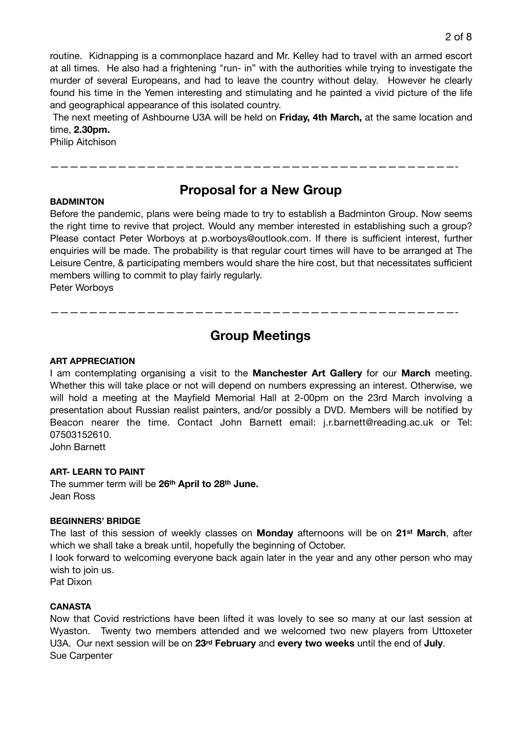routine. Kidnapping is a commonplace hazard and Mr. Kelley had to travel with an armed escort at all times. He also had a frightening "run- in" with the authorities while trying to investigate the murder of several Europeans, and had to leave the country without delay. However he clearly found his time in the Yemen interesting and stimulating and he painted a vivid picture of the life and geographical appearance of this isolated country.

 The next meeting of Ashbourne U3A will be held on **Friday, 4th March,** at the same location and time, **2.30pm.**

Philip Aitchison

# **BADMINTON**

# **Proposal for a New Group**

——————————————————————————————————————————-

Before the pandemic, plans were being made to try to establish a Badminton Group. Now seems the right time to revive that project. Would any member interested in establishing such a group? Please contact Peter Worboys at p.worboys@outlook.com. If there is sufficient interest, further enquiries will be made. The probability is that regular court times will have to be arranged at The Leisure Centre, & participating members would share the hire cost, but that necessitates sufficient members willing to commit to play fairly regularly.

Peter Worboys

# **Group Meetings**

——————————————————————————————————————————-

#### **ART APPRECIATION**

I am contemplating organising a visit to the **Manchester Art Gallery** for our **March** meeting. Whether this will take place or not will depend on numbers expressing an interest. Otherwise, we will hold a meeting at the Mayfield Memorial Hall at 2-00pm on the 23rd March involving a presentation about Russian realist painters, and/or possibly a DVD. Members will be notified by Beacon nearer the time. Contact John Barnett email: j.r.barnett@reading.ac.uk or Tel: 07503152610.

John Barnett

#### **ART- LEARN TO PAINT**

The summer term will be **26th April to 28th June.** Jean Ross

#### **BEGINNERS' BRIDGE**

The last of this session of weekly classes on **Monday** afternoons will be on **21st March**, after which we shall take a break until, hopefully the beginning of October.

I look forward to welcoming everyone back again later in the year and any other person who may wish to join us.

Pat Dixon

#### **CANASTA**

Now that Covid restrictions have been lifted it was lovely to see so many at our last session at Wyaston. Twenty two members attended and we welcomed two new players from Uttoxeter U3A. Our next session will be on **23rd February** and **every two weeks** until the end of **July**. Sue Carpenter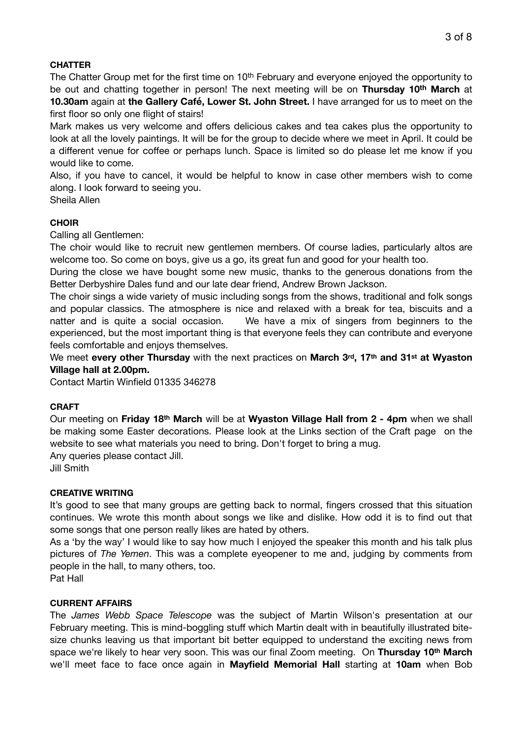# **CHATTER**

The Chatter Group met for the first time on 10<sup>th</sup> February and everyone enjoyed the opportunity to be out and chatting together in person! The next meeting will be on **Thursday 10th March** at **10.30am** again at **the Gallery Café, Lower St. John Street.** I have arranged for us to meet on the first floor so only one flight of stairs!

Mark makes us very welcome and offers delicious cakes and tea cakes plus the opportunity to look at all the lovely paintings. It will be for the group to decide where we meet in April. It could be a different venue for coffee or perhaps lunch. Space is limited so do please let me know if you would like to come.

Also, if you have to cancel, it would be helpful to know in case other members wish to come along. I look forward to seeing you.

Sheila Allen

# **CHOIR**

Calling all Gentlemen:

The choir would like to recruit new gentlemen members. Of course ladies, particularly altos are welcome too. So come on boys, give us a go, its great fun and good for your health too.

During the close we have bought some new music, thanks to the generous donations from the Better Derbyshire Dales fund and our late dear friend, Andrew Brown Jackson.

The choir sings a wide variety of music including songs from the shows, traditional and folk songs and popular classics. The atmosphere is nice and relaxed with a break for tea, biscuits and a natter and is quite a social occasion. We have a mix of singers from beginners to the experienced, but the most important thing is that everyone feels they can contribute and everyone feels comfortable and enjoys themselves.

We meet **every other Thursday** with the next practices on **March 3rd, 17th and 31st at Wyaston Village hall at 2.00pm.** 

Contact Martin Winfield 01335 346278

#### **CRAFT**

Our meeting on **Friday 18th March** will be at **Wyaston Village Hall from 2 - 4pm** when we shall be making some Easter decorations. Please look at the Links section of the Craft page on the website to see what materials you need to bring. Don't forget to bring a mug.

Any queries please contact Jill.

Jill Smith

#### **CREATIVE WRITING**

It's good to see that many groups are getting back to normal, fingers crossed that this situation continues. We wrote this month about songs we like and dislike. How odd it is to find out that some songs that one person really likes are hated by others.

As a 'by the way' I would like to say how much I enjoyed the speaker this month and his talk plus pictures of *The Yemen*. This was a complete eyeopener to me and, judging by comments from people in the hall, to many others, too.

Pat Hall

#### **CURRENT AFFAIRS**

The *James Webb Space Telescope* was the subject of Martin Wilson's presentation at our February meeting. This is mind-boggling stuff which Martin dealt with in beautifully illustrated bitesize chunks leaving us that important bit better equipped to understand the exciting news from space we're likely to hear very soon. This was our final Zoom meeting. On **Thursday 10th March**  we'll meet face to face once again in **Mayfield Memorial Hall** starting at **10am** when Bob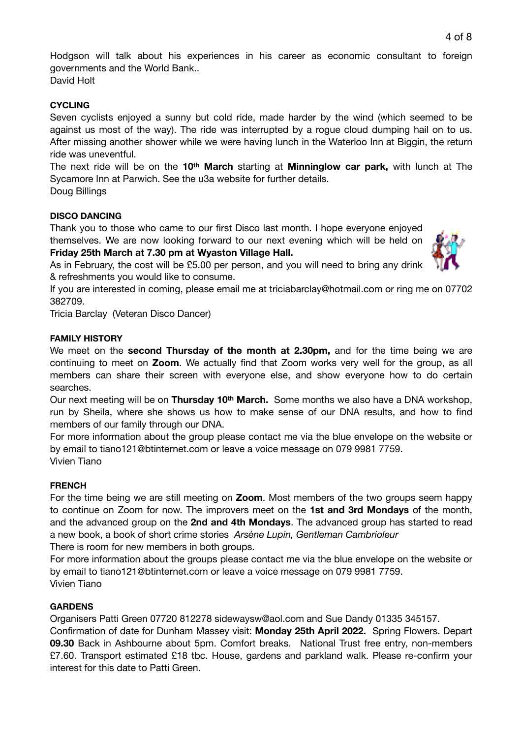Hodgson will talk about his experiences in his career as economic consultant to foreign governments and the World Bank..

David Holt

# **CYCLING**

Seven cyclists enjoyed a sunny but cold ride, made harder by the wind (which seemed to be against us most of the way). The ride was interrupted by a rogue cloud dumping hail on to us. After missing another shower while we were having lunch in the Waterloo Inn at Biggin, the return ride was uneventful.

The next ride will be on the **10th March** starting at **Minninglow car park,** with lunch at The Sycamore Inn at Parwich. See the u3a website for further details.

Doug Billings

# **DISCO DANCING**

Thank you to those who came to our first Disco last month. I hope everyone enjoyed themselves. We are now looking forward to our next evening which will be held on **Friday 25th March at 7.30 pm at Wyaston Village Hall.**



As in February, the cost will be £5.00 per person, and you will need to bring any drink & refreshments you would like to consume.

If you are interested in coming, please email me at triciabarclay@hotmail.com or ring me on 07702 382709.

Tricia Barclay (Veteran Disco Dancer)

# **FAMILY HISTORY**

We meet on the **second Thursday of the month at 2.30pm,** and for the time being we are continuing to meet on **Zoom**. We actually find that Zoom works very well for the group, as all members can share their screen with everyone else, and show everyone how to do certain searches.

Our next meeting will be on **Thursday 10th March.** Some months we also have a DNA workshop, run by Sheila, where she shows us how to make sense of our DNA results, and how to find members of our family through our DNA.

For more information about the group please contact me via the blue envelope on the website or by email to tiano121@btinternet.com or leave a voice message on 079 9981 7759. Vivien Tiano

#### **FRENCH**

For the time being we are still meeting on **Zoom**. Most members of the two groups seem happy to continue on Zoom for now. The improvers meet on the **1st and 3rd Mondays** of the month, and the advanced group on the **2nd and 4th Mondays**. The advanced group has started to read a new book, a book of short crime stories *Arsène Lupin, Gentleman Cambrioleur*

There is room for new members in both groups.

For more information about the groups please contact me via the blue envelope on the website or by email to tiano121@btinternet.com or leave a voice message on 079 9981 7759. Vivien Tiano

#### **GARDENS**

Organisers Patti Green 07720 812278 sidewaysw@aol.com and Sue Dandy 01335 345157.

Confirmation of date for Dunham Massey visit: **Monday 25th April 2022.** Spring Flowers. Depart **09.30** Back in Ashbourne about 5pm. Comfort breaks. National Trust free entry, non-members £7.60. Transport estimated £18 tbc. House, gardens and parkland walk. Please re-confirm your interest for this date to Patti Green.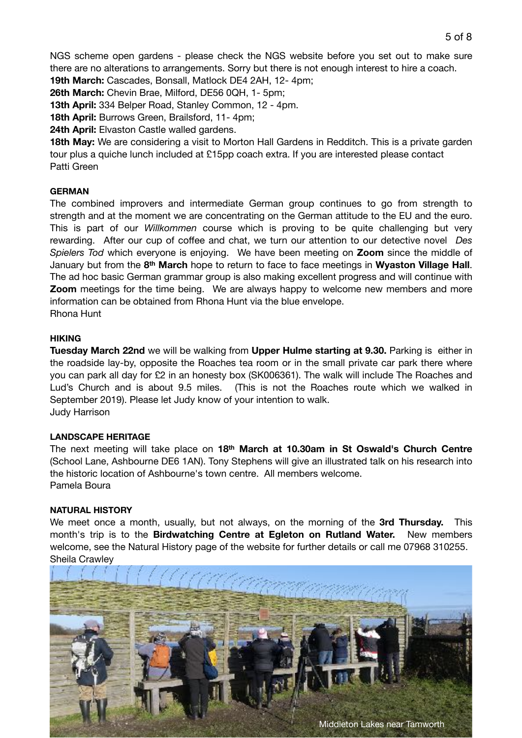5 of 8

**19th March:** Cascades, Bonsall, Matlock DE4 2AH, 12- 4pm;

**26th March:** Chevin Brae, Milford, DE56 0QH, 1- 5pm;

**13th April:** 334 Belper Road, Stanley Common, 12 - 4pm.

**18th April:** Burrows Green, Brailsford, 11- 4pm;

**24th April:** Elvaston Castle walled gardens.

**18th May:** We are considering a visit to Morton Hall Gardens in Redditch. This is a private garden tour plus a quiche lunch included at £15pp coach extra. If you are interested please contact Patti Green

#### **GERMAN**

The combined improvers and intermediate German group continues to go from strength to strength and at the moment we are concentrating on the German attitude to the EU and the euro. This is part of our *Willkommen* course which is proving to be quite challenging but very rewarding. After our cup of coffee and chat, we turn our attention to our detective novel *Des Spielers Tod* which everyone is enjoying. We have been meeting on **Zoom** since the middle of January but from the **8th March** hope to return to face to face meetings in **Wyaston Village Hall**. The ad hoc basic German grammar group is also making excellent progress and will continue with **Zoom** meetings for the time being. We are always happy to welcome new members and more information can be obtained from Rhona Hunt via the blue envelope.

Rhona Hunt

# **HIKING**

**Tuesday March 22nd** we will be walking from **Upper Hulme starting at 9.30.** Parking is either in the roadside lay-by, opposite the Roaches tea room or in the small private car park there where you can park all day for £2 in an honesty box (SK006361). The walk will include The Roaches and Lud's Church and is about 9.5 miles. (This is not the Roaches route which we walked in September 2019). Please let Judy know of your intention to walk. Judy Harrison

#### **LANDSCAPE HERITAGE**

The next meeting will take place on **18th March at 10.30am in St Oswald's Church Centre** (School Lane, Ashbourne DE6 1AN). Tony Stephens will give an illustrated talk on his research into the historic location of Ashbourne's town centre. All members welcome. Pamela Boura

#### **NATURAL HISTORY**

We meet once a month, usually, but not always, on the morning of the **3rd Thursday.** This month's trip is to the **Birdwatching Centre at Egleton on Rutland Water.** New members welcome, see the Natural History page of the website for further details or call me 07968 310255. Sheila Crawley

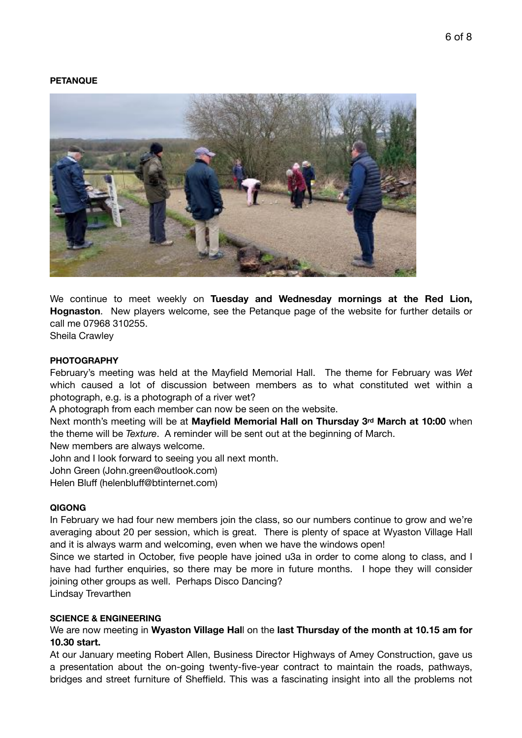#### **PETANQUE**



We continue to meet weekly on **Tuesday and Wednesday mornings at the Red Lion, Hognaston**. New players welcome, see the Petanque page of the website for further details or call me 07968 310255.

Sheila Crawley

#### **PHOTOGRAPHY**

February's meeting was held at the Mayfield Memorial Hall. The theme for February was *Wet* which caused a lot of discussion between members as to what constituted wet within a photograph, e.g. is a photograph of a river wet?

A photograph from each member can now be seen on the website.

Next month's meeting will be at **Mayfield Memorial Hall on Thursday 3rd March at 10:00** when the theme will be *Texture*. A reminder will be sent out at the beginning of March.

New members are always welcome.

John and I look forward to seeing you all next month.

John Green (John.green@outlook.com)

Helen Bluff (helenbluff@btinternet.com)

#### **QIGONG**

In February we had four new members join the class, so our numbers continue to grow and we're averaging about 20 per session, which is great. There is plenty of space at Wyaston Village Hall and it is always warm and welcoming, even when we have the windows open!

Since we started in October, five people have joined u3a in order to come along to class, and I have had further enquiries, so there may be more in future months. I hope they will consider joining other groups as well. Perhaps Disco Dancing?

Lindsay Trevarthen

#### **SCIENCE & ENGINEERING**

We are now meeting in **Wyaston Village Hal**l on the **last Thursday of the month at 10.15 am for 10.30 start.**

At our January meeting Robert Allen, Business Director Highways of Amey Construction, gave us a presentation about the on-going twenty-five-year contract to maintain the roads, pathways, bridges and street furniture of Sheffield. This was a fascinating insight into all the problems not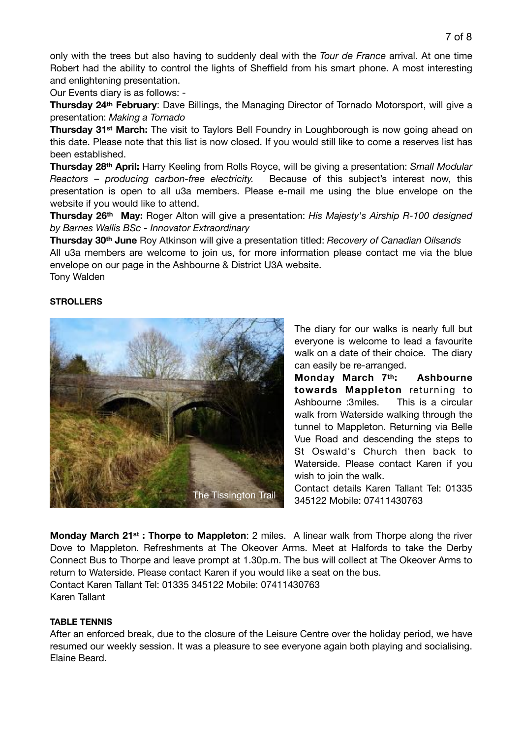only with the trees but also having to suddenly deal with the *Tour de France* arrival. At one time Robert had the ability to control the lights of Sheffield from his smart phone. A most interesting and enlightening presentation.

Our Events diary is as follows: -

**Thursday 24th February**: Dave Billings, the Managing Director of Tornado Motorsport, will give a presentation: *Making a Tornado*

**Thursday 31st March:** The visit to Taylors Bell Foundry in Loughborough is now going ahead on this date. Please note that this list is now closed. If you would still like to come a reserves list has been established.

**Thursday 28th April:** Harry Keeling from Rolls Royce, will be giving a presentation: *Small Modular Reactors – producing carbon-free electricity.* Because of this subject's interest now, this presentation is open to all u3a members. Please e-mail me using the blue envelope on the website if you would like to attend.

**Thursday 26th May:** Roger Alton will give a presentation: *His Majesty's Airship R-100 designed by Barnes Wallis BSc - Innovator Extraordinary*

**Thursday 30th June** Roy Atkinson will give a presentation titled: *Recovery of Canadian Oilsands* All u3a members are welcome to join us, for more information please contact me via the blue envelope on our page in the Ashbourne & District U3A website. Tony Walden

#### **STROLLERS**



The diary for our walks is nearly full but everyone is welcome to lead a favourite walk on a date of their choice. The diary can easily be re-arranged.

**Monday March 7th: Ashbourne towards Mappleton** returning to Ashbourne :3miles. This is a circular walk from Waterside walking through the tunnel to Mappleton. Returning via Belle Vue Road and descending the steps to St Oswald's Church then back to Waterside. Please contact Karen if you wish to join the walk.

Contact details Karen Tallant Tel: 01335 345122 Mobile: 07411430763

**Monday March 21st : Thorpe to Mappleton**: 2 miles. A linear walk from Thorpe along the river Dove to Mappleton. Refreshments at The Okeover Arms. Meet at Halfords to take the Derby Connect Bus to Thorpe and leave prompt at 1.30p.m. The bus will collect at The Okeover Arms to return to Waterside. Please contact Karen if you would like a seat on the bus. Contact Karen Tallant Tel: 01335 345122 Mobile: 07411430763 Karen Tallant

#### **TABLE TENNIS**

After an enforced break, due to the closure of the Leisure Centre over the holiday period, we have resumed our weekly session. It was a pleasure to see everyone again both playing and socialising. Elaine Beard.